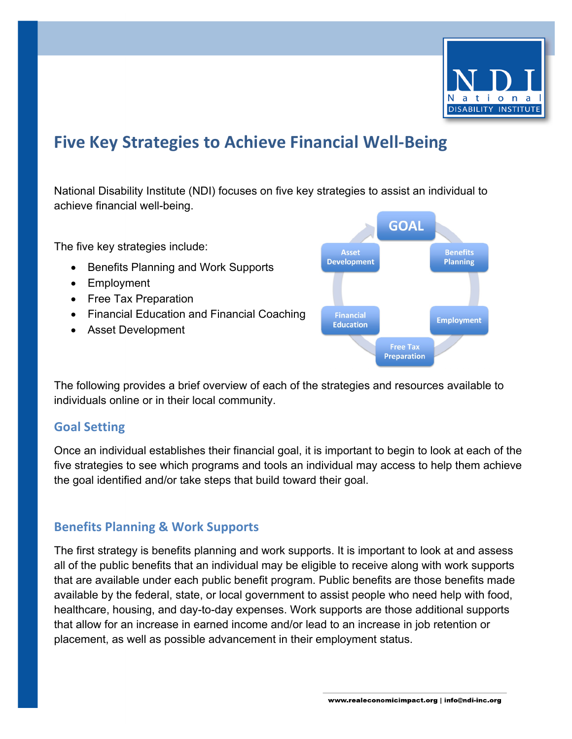

# **Five Key Strategies to Achieve Financial Well-Being**

National Disability Institute (NDI) focuses on five key strategies to assist an individual to achieve financial well-being.

The five key strategies include:

- Benefits Planning and Work Supports
- Employment
- Free Tax Preparation
- Financial Education and Financial Coaching
- Asset Development



The following provides a brief overview of each of the strategies and resources available to individuals online or in their local community.

## **Goal Setting**

Once an individual establishes their financial goal, it is important to begin to look at each of the five strategies to see which programs and tools an individual may access to help them achieve the goal identified and/or take steps that build toward their goal.

## **Benefits Planning & Work Supports**

The first strategy is benefits planning and work supports. It is important to look at and assess all of the public benefits that an individual may be eligible to receive along with work supports that are available under each public benefit program. Public benefits are those benefits made available by the federal, state, or local government to assist people who need help with food, healthcare, housing, and day-to-day expenses. Work supports are those additional supports that allow for an increase in earned income and/or lead to an increase in job retention or placement, as well as possible advancement in their employment status.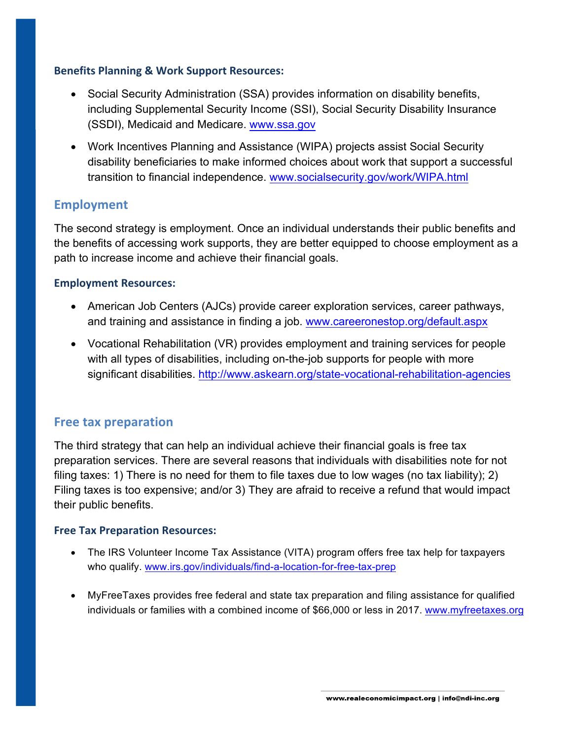#### **Benefits Planning & Work Support Resources:**

- Social Security Administration (SSA) provides information on disability benefits, including Supplemental Security Income (SSI), Social Security Disability Insurance (SSDI), Medicaid and Medicare. www.ssa.gov
- Work Incentives Planning and Assistance (WIPA) projects assist Social Security disability beneficiaries to make informed choices about work that support a successful transition to financial independence. www.socialsecurity.gov/work/WIPA.html

### **Employment**

The second strategy is employment. Once an individual understands their public benefits and the benefits of accessing work supports, they are better equipped to choose employment as a path to increase income and achieve their financial goals.

#### **Employment Resources:**

- American Job Centers (AJCs) provide career exploration services, career pathways, and training and assistance in finding a job. www.careeronestop.org/default.aspx
- Vocational Rehabilitation (VR) provides employment and training services for people with all types of disabilities, including on-the-job supports for people with more significant disabilities. http://www.askearn.org/state-vocational-rehabilitation-agencies

## **Free tax preparation**

The third strategy that can help an individual achieve their financial goals is free tax preparation services. There are several reasons that individuals with disabilities note for not filing taxes: 1) There is no need for them to file taxes due to low wages (no tax liability); 2) Filing taxes is too expensive; and/or 3) They are afraid to receive a refund that would impact their public benefits.

#### **Free Tax Preparation Resources:**

- The IRS Volunteer Income Tax Assistance (VITA) program offers free tax help for taxpayers who qualify. www.irs.gov/individuals/find-a-location-for-free-tax-prep
- MyFreeTaxes provides free federal and state tax preparation and filing assistance for qualified individuals or families with a combined income of \$66,000 or less in 2017. www.myfreetaxes.org